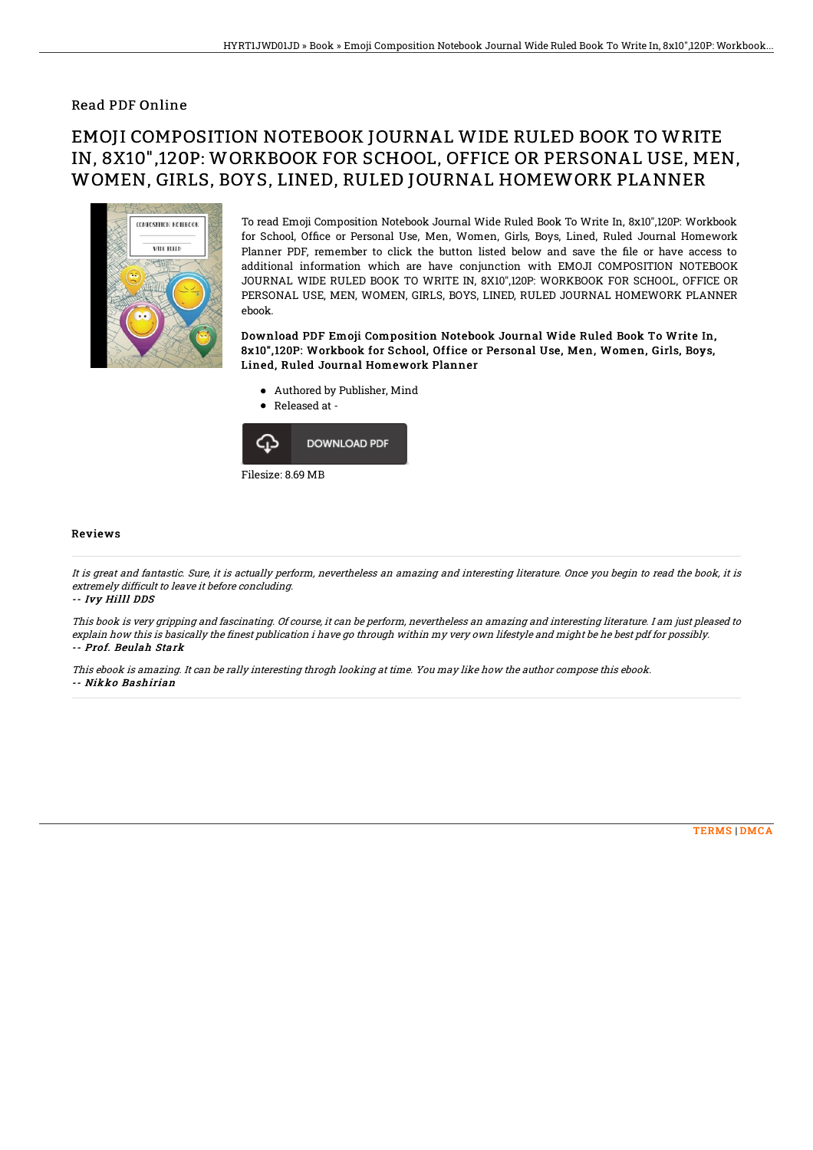### Read PDF Online

# EMOJI COMPOSITION NOTEBOOK JOURNAL WIDE RULED BOOK TO WRITE IN, 8X10",120P: WORKBOOK FOR SCHOOL, OFFICE OR PERSONAL USE, MEN, WOMEN, GIRLS, BOYS, LINED, RULED JOURNAL HOMEWORK PLANNER



To read Emoji Composition Notebook Journal Wide Ruled Book To Write In, 8x10",120P: Workbook for School, Office or Personal Use, Men, Women, Girls, Boys, Lined, Ruled Journal Homework Planner PDF, remember to click the button listed below and save the file or have access to additional information which are have conjunction with EMOJI COMPOSITION NOTEBOOK JOURNAL WIDE RULED BOOK TO WRITE IN, 8X10",120P: WORKBOOK FOR SCHOOL, OFFICE OR PERSONAL USE, MEN, WOMEN, GIRLS, BOYS, LINED, RULED JOURNAL HOMEWORK PLANNER ebook.

Download PDF Emoji Composition Notebook Journal Wide Ruled Book To Write In, 8x10", 120P: Workbook for School, Office or Personal Use, Men, Women, Girls, Boys, Lined, Ruled Journal Homework Planner

- Authored by Publisher, Mind
- Released at  $\bullet$



#### Reviews

It is great and fantastic. Sure, it is actually perform, nevertheless an amazing and interesting literature. Once you begin to read the book, it is extremely difficult to leave it before concluding.

#### -- Ivy Hilll DDS

This book is very gripping and fascinating. Of course, it can be perform, nevertheless an amazing and interesting literature. I am just pleased to explain how this is basically the finest publication i have go through within my very own lifestyle and might be he best pdf for possibly. -- Prof. Beulah Stark

This ebook is amazing. It can be rally interesting throgh looking at time. You may like how the author compose this ebook. -- Nikko Bashirian